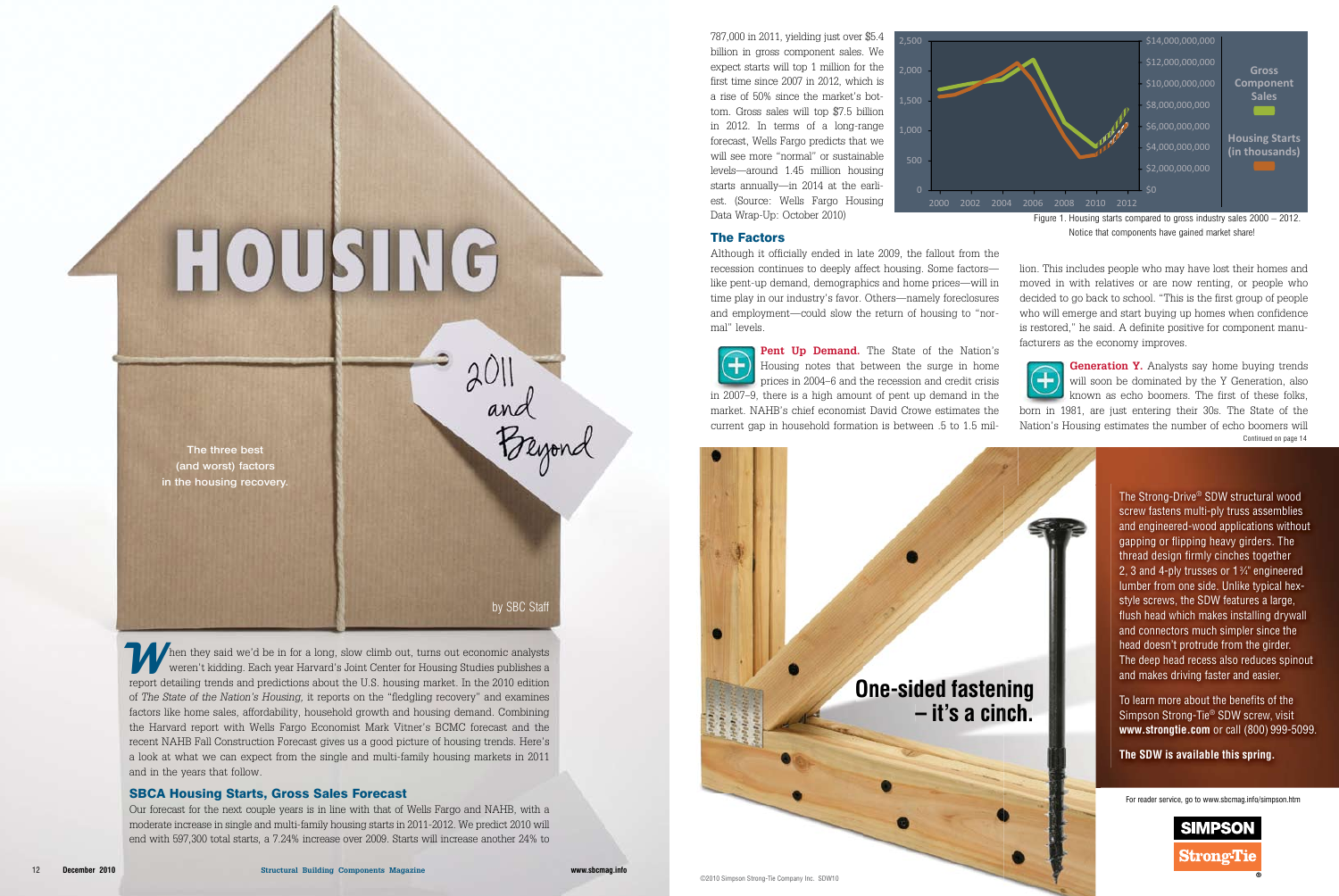Then they said we'd be in for a long, slow climb out, turns out economic analysts<br>weren't kidding. Each year Harvard's Joint Center for Housing Studies publishes a<br>report detailing trends and predictions about the U.S. bou weren't kidding. Each year Harvard's Joint Center for Housing Studies publishes a report detailing trends and predictions about the U.S. housing market. In the 2010 edition of *The State of the Nation's Housing,* it reports on the "fledgling recovery" and examines factors like home sales, affordability, household growth and housing demand. Combining the Harvard report with Wells Fargo Economist Mark Vitner's BCMC forecast and the recent NAHB Fall Construction Forecast gives us a good picture of housing trends. Here's a look at what we can expect from the single and multi-family housing markets in 2011 and in the years that follow.

#### SBCA Housing Starts, Gross Sales Forecast

Our forecast for the next couple years is in line with that of Wells Fargo and NAHB, with a moderate increase in single and multi-family housing starts in 2011-2012. We predict 2010 will end with 597,300 total starts, a 7.24% increase over 2009. Starts will increase another 24% to

by SBC Staff

2011<br>and<br>Beyond

The three best (and worst) factors in the housing recovery.

**Pent Up Demand.** The State of the Nation's Housing notes that between the surge in home prices in 2004–6 and the recession and credit crisis in 2007–9, there is a high amount of pent up demand in the

787,000 in 2011, yielding just over \$5.4 billion in gross component sales. We expect starts will top 1 million for the first time since 2007 in 2012, which is a rise of 50% since the market's bottom. Gross sales will top \$7.5 billion in 2012. In terms of a long-range forecast, Wells Fargo predicts that we will see more "normal" or sustainable levels—around 1.45 million housing starts annually—in 2014 at the earliest. (Source: Wells Fargo Housing Data Wrap-Up: October 2010)

> To learn more about the benefits of the Simpson Strong-Tie® SDW screw, visit **www.strongtie.com** or call (800) 999-5099.

#### The Factors

Although it officially ended in late 2009, the fallout from the recession continues to deeply affect housing. Some factors like pent-up demand, demographics and home prices—will in time play in our industry's favor. Others—namely foreclosures and employment—could slow the return of housing to "normal" levels.

 $\overline{A}$ 

**Generation Y.** Analysts say home buying trends  $\mathbf{\mathbf{\mathbf{\mathbf{\mathbf{+}}}}}$ will soon be dominated by the Y Generation, also known as echo boomers. The first of these folks, born in 1981, are just entering their 30s. The State of the Nation's Housing estimates the number of echo boomers will Continued on page 14

market. NAHB's chief economist David Crowe estimates the current gap in household formation is between .5 to 1.5 mil-

> The Strong-Drive® SDW structural wood screw fastens multi-ply truss assemblies and engineered-wood applications without gapping or flipping heavy girders. The thread design firmly cinches together 2, 3 and 4-ply trusses or 1 3 ⁄4" engineered lumber from one side. Unlike typical hexstyle screws, the SDW features a large, flush head which makes installing drywall and connectors much simpler since the head doesn't protrude from the girder. The deep head recess also reduces spinout and makes driving faster and easier.

**The SDW is available this spring.**



# HOUSING

For reader service, go to www.sbcmag.info/simpson.htm





Figure 1. Housing starts compared to gross industry sales 2000 – 2012. Notice that components have gained market share!

lion. This includes people who may have lost their homes and moved in with relatives or are now renting, or people who decided to go back to school. "This is the first group of people who will emerge and start buying up homes when confidence is restored," he said. A definite positive for component manufacturers as the economy improves.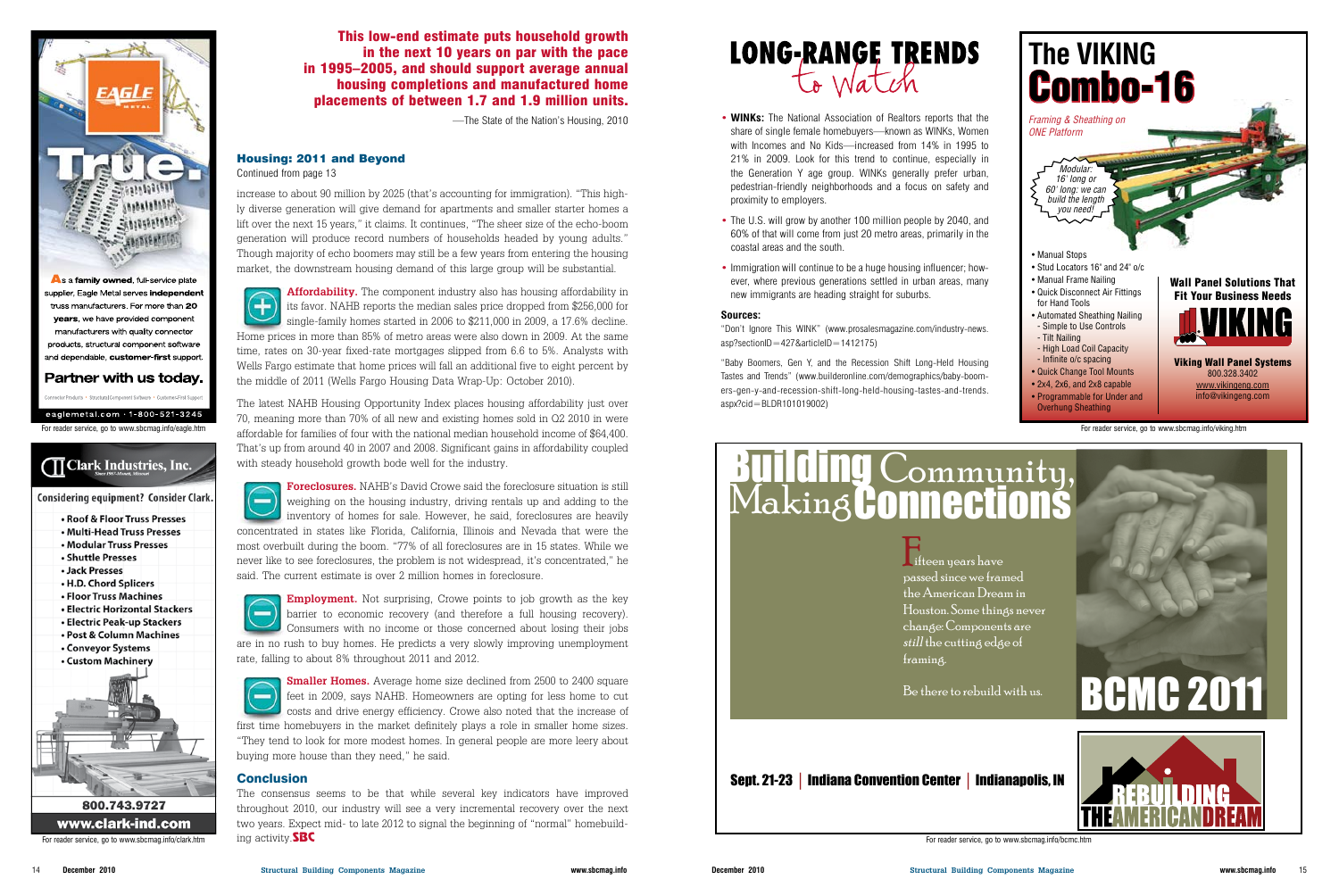

As a family owned, full-service plate supplier, Eagle Metal serves independent truss manufacturers. For more than 20 years, we have provided component manufacturers with quality connector products, structural component software and dependable, customer-first support.

## Partner with us today.

## Housing: 2011 and Beyond

Continued from page 13

increase to about 90 million by 2025 (that's accounting for immigration). "This highly diverse generation will give demand for apartments and smaller starter homes a lift over the next 15 years," it claims. It continues, "The sheer size of the echo-boom generation will produce record numbers of households headed by young adults." Though majority of echo boomers may still be a few years from entering the housing market, the downstream housing demand of this large group will be substantial.

**Affordability.** The component industry also has housing affordability in its favor. NAHB reports the median sales price dropped from \$256,000 for single-family homes started in 2006 to \$211,000 in 2009, a 17.6% decline. Home prices in more than 85% of metro areas were also down in 2009. At the same time, rates on 30-year fixed-rate mortgages slipped from 6.6 to 5%. Analysts with Wells Fargo estimate that home prices will fall an additional five to eight percent by the middle of 2011 (Wells Fargo Housing Data Wrap-Up: October 2010).

**Employment.** Not surprising, Crowe points to job growth as the key barrier to economic recovery (and therefore a full housing recovery). Consumers with no income or those concerned about losing their jobs are in no rush to buy homes. He predicts a very slowly improving unemployment rate, falling to about 8% throughout 2011 and 2012.

The latest NAHB Housing Opportunity Index places housing affordability just over 70, meaning more than 70% of all new and existing homes sold in Q2 2010 in were affordable for families of four with the national median household income of \$64,400. That's up from around 40 in 2007 and 2008. Significant gains in affordability coupled with steady household growth bode well for the industry.

**Smaller Homes.** Average home size declined from 2500 to 2400 square  $\equiv$ feet in 2009, says NAHB. Homeowners are opting for less home to cut costs and drive energy efficiency. Crowe also noted that the increase of first time homebuyers in the market definitely plays a role in smaller home sizes. "They tend to look for more modest homes. In general people are more leery about buying more house than they need," he said.

### **Conclusion**

eaglemetal.com  $\cdot$  1-800-521-3245 For reader service, go to www.sbcmag.info/eagle.htm

# **TT Clark Industries, Inc.**

#### Considering equipment? Consider Clark.

- Roof & Floor Truss Presses
- Multi-Head Truss Presses
- Modular Truss Presses
- · Shuttle Presses
- Jack Presses
- . H.D. Chord Splicers
- Floor Truss Machines
- · Electric Horizontal Stackers
- Electric Peak-up Stackers • Post & Column Machines
- Conveyor Systems
- Custom Machinery



# 800.743.9727 www.clark-ind.com

For reader service, go to www.sbcmag.info/clark.htm ing activity. **SBC** 

**Foreclosures.** NAHB's David Crowe said the foreclosure situation is still  $\equiv$ weighing on the housing industry, driving rentals up and adding to the inventory of homes for sale. However, he said, foreclosures are heavily concentrated in states like Florida, California, Illinois and Nevada that were the most overbuilt during the boom. "77% of all foreclosures are in 15 states. While we never like to see foreclosures, the problem is not widespread, it's concentrated," he said. The current estimate is over 2 million homes in foreclosure.



The consensus seems to be that while several key indicators have improved throughout 2010, our industry will see a very incremental recovery over the next two years. Expect mid- to late 2012 to signal the beginning of "normal" homebuild-



This low-end estimate puts household growth in the next 10 years on par with the pace in 1995–2005, and should support average annual housing completions and manufactured home placements of between 1.7 and 1.9 million units.

- —The State of the Nation's Housing, 2010 **WINKs:** The National Association of Realtors reports that the share of single female homebuyers—known as WINKs, Women with Incomes and No Kids—increased from 14% in 1995 to 21% in 2009. Look for this trend to continue, especially in the Generation Y age group. WINKs generally prefer urban, pedestrian-friendly neighborhoods and a focus on safety and proximity to employers.
	- The U.S. will grow by another 100 million people by 2040, and 60% of that will come from just 20 metro areas, primarily in the coastal areas and the south.
	- Immigration will continue to be a huge housing influencer; however, where previous generations settled in urban areas, many new immigrants are heading straight for suburbs.



#### **Sources:**

"Don't Ignore This WINK" (www.prosalesmagazine.com/industry-news. asp?sectionID=427&articleID=1412175)

"Baby Boomers, Gen Y, and the Recession Shift Long-Held Housing Tastes and Trends" (www.builderonline.com/demographics/baby-boomers-gen-y-and-recession-shift-long-held-housing-tastes-and-trends. aspx?cid=BLDR101019002)